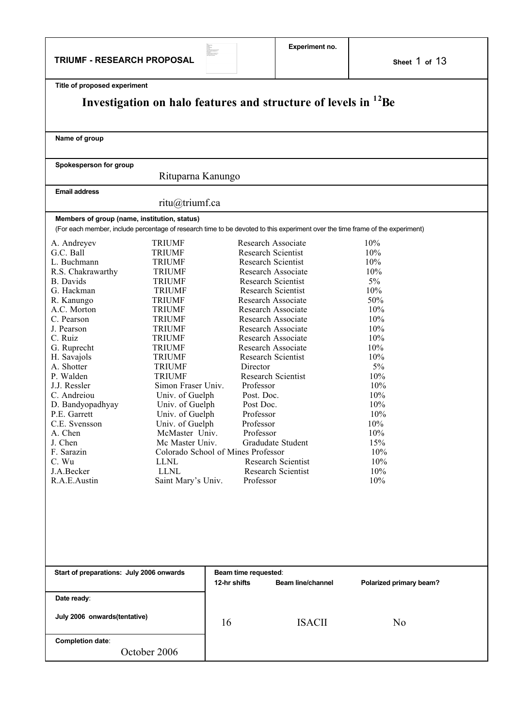**TRIUMF - RESEARCH PROPOSAL**

 $\begin{tabular}{l|c|c|} \hline \textbf{Na}_2 & \textbf{32} & \textbf{33} & \textbf{34} & \textbf{35} & \textbf{36} & \textbf{37} & \textbf{38} & \textbf{38} & \textbf{38} & \textbf{38} & \textbf{38} & \textbf{38} & \textbf{38} & \textbf{38} & \textbf{38} & \textbf{38} & \textbf{38} & \textbf{38} & \textbf{38} & \textbf{38} & \textbf{38} & \textbf{38} & \textbf{38} & \textbf{38} & \textbf{$ 

**Experiment no.**

| Title of proposed experiment                 |                                    |              |                                                                                                                               |                         |  |  |
|----------------------------------------------|------------------------------------|--------------|-------------------------------------------------------------------------------------------------------------------------------|-------------------------|--|--|
|                                              |                                    |              | Investigation on halo features and structure of levels in <sup>12</sup> Be                                                    |                         |  |  |
|                                              |                                    |              |                                                                                                                               |                         |  |  |
|                                              |                                    |              |                                                                                                                               |                         |  |  |
| Name of group                                |                                    |              |                                                                                                                               |                         |  |  |
|                                              |                                    |              |                                                                                                                               |                         |  |  |
|                                              |                                    |              |                                                                                                                               |                         |  |  |
| Spokesperson for group                       |                                    |              |                                                                                                                               |                         |  |  |
|                                              | Rituparna Kanungo                  |              |                                                                                                                               |                         |  |  |
| <b>Email address</b>                         |                                    |              |                                                                                                                               |                         |  |  |
|                                              | ritu@triumf.ca                     |              |                                                                                                                               |                         |  |  |
| Members of group (name, institution, status) |                                    |              |                                                                                                                               |                         |  |  |
|                                              |                                    |              | (For each member, include percentage of research time to be devoted to this experiment over the time frame of the experiment) |                         |  |  |
| A. Andreyev                                  | <b>TRIUMF</b>                      |              | Research Associate                                                                                                            | 10%                     |  |  |
| G.C. Ball                                    | <b>TRIUMF</b>                      |              | Research Scientist                                                                                                            | 10%                     |  |  |
| L. Buchmann                                  | <b>TRIUMF</b>                      |              | <b>Research Scientist</b>                                                                                                     | 10%                     |  |  |
| R.S. Chakrawarthy                            | <b>TRIUMF</b>                      |              | Research Associate                                                                                                            | 10%                     |  |  |
| B. Davids                                    | <b>TRIUMF</b>                      |              | <b>Research Scientist</b>                                                                                                     | $5\%$                   |  |  |
| G. Hackman                                   | <b>TRIUMF</b>                      |              | <b>Research Scientist</b>                                                                                                     | 10%                     |  |  |
| R. Kanungo                                   | <b>TRIUMF</b>                      |              | Research Associate                                                                                                            | 50%                     |  |  |
| A.C. Morton                                  | <b>TRIUMF</b>                      |              | Research Associate                                                                                                            | 10%                     |  |  |
| C. Pearson                                   | <b>TRIUMF</b>                      |              | Research Associate                                                                                                            | 10%                     |  |  |
| J. Pearson                                   | <b>TRIUMF</b>                      |              | Research Associate                                                                                                            | 10%                     |  |  |
| C. Ruiz                                      | <b>TRIUMF</b>                      |              | Research Associate                                                                                                            | 10%                     |  |  |
| G. Ruprecht                                  | <b>TRIUMF</b>                      |              | Research Associate                                                                                                            | 10%                     |  |  |
| H. Savajols                                  | <b>TRIUMF</b>                      |              | <b>Research Scientist</b>                                                                                                     | 10%                     |  |  |
| A. Shotter                                   | <b>TRIUMF</b>                      |              | Director                                                                                                                      | 5%                      |  |  |
| P. Walden                                    | <b>TRIUMF</b>                      |              | Research Scientist                                                                                                            | 10%                     |  |  |
| J.J. Ressler                                 | Simon Fraser Univ.                 |              | Professor                                                                                                                     | 10%                     |  |  |
| C. Andreiou                                  | Univ. of Guelph                    |              | Post. Doc.                                                                                                                    | 10%                     |  |  |
| D. Bandyopadhyay                             | Univ. of Guelph                    |              | Post Doc.                                                                                                                     | 10%                     |  |  |
| P.E. Garrett                                 | Univ. of Guelph                    |              | Professor                                                                                                                     | 10%                     |  |  |
| C.E. Svensson                                | Univ. of Guelph                    |              | Professor                                                                                                                     | 10%                     |  |  |
| A. Chen                                      | McMaster Univ.                     |              | Professor                                                                                                                     | 10%                     |  |  |
| J. Chen                                      | Mc Master Univ.                    |              | Gradudate Student                                                                                                             | 15%                     |  |  |
| F. Sarazin                                   | Colorado School of Mines Professor |              |                                                                                                                               | 10%                     |  |  |
| C. Wu                                        | <b>LLNL</b>                        |              | Research Scientist                                                                                                            | 10%                     |  |  |
| J.A.Becker                                   | <b>LLNL</b>                        |              | Research Scientist                                                                                                            | 10%                     |  |  |
| R.A.E.Austin                                 | Saint Mary's Univ.                 |              | Professor                                                                                                                     | 10%                     |  |  |
|                                              |                                    |              |                                                                                                                               |                         |  |  |
|                                              |                                    |              |                                                                                                                               |                         |  |  |
|                                              |                                    |              |                                                                                                                               |                         |  |  |
|                                              |                                    |              |                                                                                                                               |                         |  |  |
|                                              |                                    |              |                                                                                                                               |                         |  |  |
|                                              |                                    |              |                                                                                                                               |                         |  |  |
|                                              |                                    |              |                                                                                                                               |                         |  |  |
|                                              |                                    |              |                                                                                                                               |                         |  |  |
| Start of preparations: July 2006 onwards     |                                    |              | Beam time requested:                                                                                                          |                         |  |  |
|                                              |                                    | 12-hr shifts | <b>Beam line/channel</b>                                                                                                      | Polarized primary beam? |  |  |
|                                              |                                    |              |                                                                                                                               |                         |  |  |
| Date ready:                                  |                                    |              |                                                                                                                               |                         |  |  |
|                                              |                                    |              |                                                                                                                               |                         |  |  |
| July 2006 onwards(tentative)                 |                                    | 16           | <b>ISACII</b>                                                                                                                 | N <sub>0</sub>          |  |  |
|                                              |                                    |              |                                                                                                                               |                         |  |  |
| Completion date:                             |                                    |              |                                                                                                                               |                         |  |  |
| October 2006                                 |                                    |              |                                                                                                                               |                         |  |  |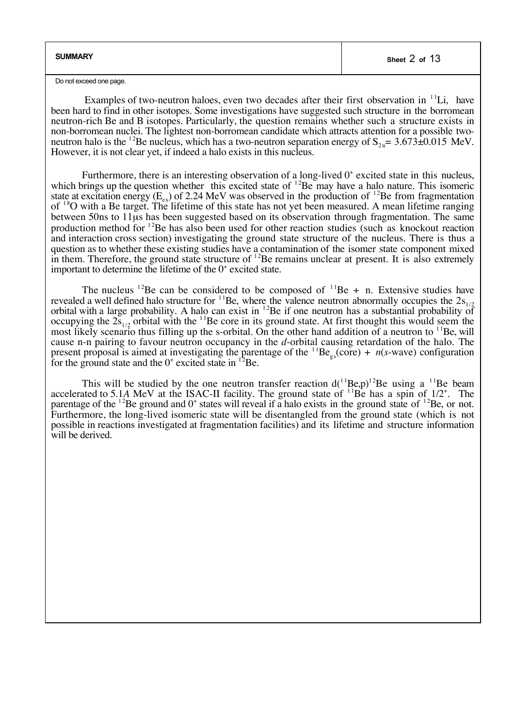| <b>SUMMARY</b> | Sheet 2 of 13 |
|----------------|---------------|
|                |               |

Do not exceed one page.

Examples of two-neutron haloes, even two decades after their first observation in  $<sup>11</sup>Li$ , have</sup> been hard to find in other isotopes. Some investigations have suggested such structure in the borromean neutron-rich Be and B isotopes. Particularly, the question remains whether such a structure exists in non-borromean nuclei. The lightest non-borromean candidate which attracts attention for a possible twoneutron halo is the <sup>12</sup>Be nucleus, which has a two-neutron separation energy of  $S_{2n}$ = 3.673 $\pm$ 0.015 MeV. However, it is not clear yet, if indeed a halo exists in this nucleus.

Furthermore, there is an interesting observation of a long-lived  $0^+$  excited state in this nucleus, which brings up the question whether this excited state of  $^{12}$ Be may have a halo nature. This isomeric state at excitation energy  $(E_{ex})$  of 2.24 MeV was observed in the production of  $^{12}$ Be from fragmentation of  $18$ O with a Be target. The lifetime of this state has not yet been measured. A mean lifetime ranging between 50ns to 11µs has been suggested based on its observation through fragmentation. The same production method for  $^{12}$ Be has also been used for other reaction studies (such as knockout reaction and interaction cross section) investigating the ground state structure of the nucleus. There is thus a question as to whether these existing studies have a contamination of the isomer state component mixed in them. Therefore, the ground state structure of  $^{12}$ Be remains unclear at present. It is also extremely important to determine the lifetime of the  $0^+$  excited state.

The nucleus <sup>12</sup>Be can be considered to be composed of <sup>11</sup>Be + n. Extensive studies have revealed a well defined halo structure for  $1^1$ Be, where the valence neutron abnormally occupies the  $2s_{1/2}$ orbital with a large probability. A halo can exist in  $^{12}$ Be if one neutron has a substantial probability of occupying the  $2s_{1/2}$  orbital with the <sup>11</sup>Be core in its ground state. At first thought this would seem the most likely scenario thus filling up the s-orbital. On the other hand addition of a neutron to  $^{11}$ Be, will cause n-n pairing to favour neutron occupancy in the *d*-orbital causing retardation of the halo. The present proposal is aimed at investigating the parentage of the  ${}^{11}Be_{gs}(core) + n(s-wave)$  configuration for the ground state and the  $0^+$  excited state in  $^{12}$ Be.

This will be studied by the one neutron transfer reaction  $d(^{11}Be,p)^{12}Be$  using a  $^{11}Be$  beam accelerated to 5.1A MeV at the ISAC-II facility. The ground state of  $^{11}$ Be has a spin of  $1/2^*$ . The parentage of the  $^{12}$ Be ground and  $0^+$  states will reveal if a halo exists in the ground state of  $^{12}$ Be, or not. Furthermore, the long-lived isomeric state will be disentangled from the ground state (which is not possible in reactions investigated at fragmentation facilities) and its lifetime and structure information will be derived.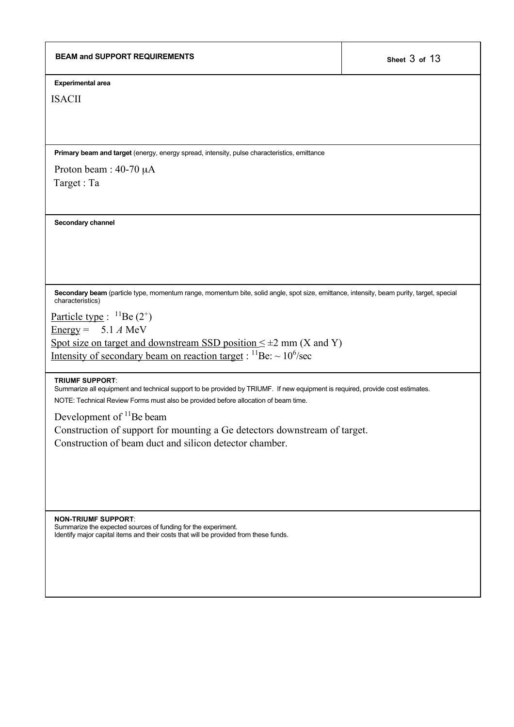**Experimental area**

ISACII

**Primary beam and target** (energy, energy spread, intensity, pulse characteristics, emittance

Proton beam : 40-70 µA Target : Ta

**Secondary channel**

**Secondary beam** (particle type, momentum range, momentum bite, solid angle, spot size, emittance, intensity, beam purity, target, special characteristics)

Particle type :  ${}^{11}$ Be (2<sup>+</sup>)

<u>Energy</u> =  $5.1 A$  MeV

Spot size on target and downstream SSD position  $\leq \pm 2$  mm (X and Y) Intensity of secondary beam on reaction target :  $^{11}$ Be:  $\sim$  10<sup>6</sup>/sec

#### **TRIUMF SUPPORT**:

Summarize all equipment and technical support to be provided by TRIUMF. If new equipment is required, provide cost estimates.

NOTE: Technical Review Forms must also be provided before allocation of beam time.

Development of <sup>11</sup>Be beam

Construction of support for mounting a Ge detectors downstream of target. Construction of beam duct and silicon detector chamber.

**NON-TRIUMF SUPPORT**: Summarize the expected sources of funding for the experiment. Identify major capital items and their costs that will be provided from these funds.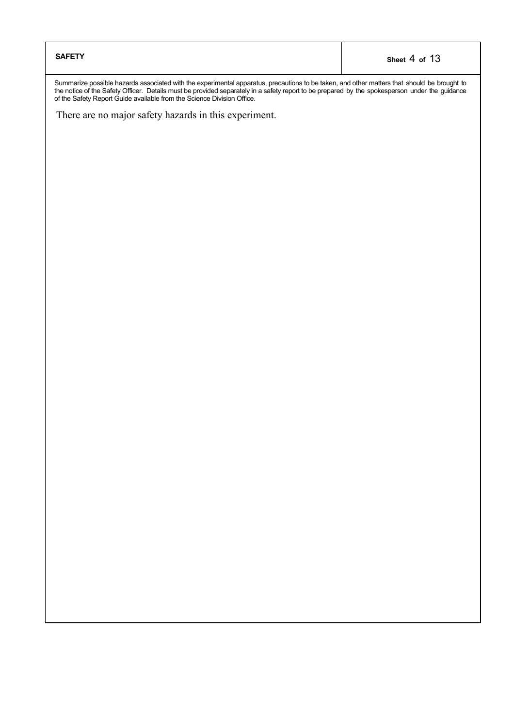| <b>SAFETY</b> | Sheet 4 of 13 |
|---------------|---------------|
|---------------|---------------|

Summarize possible hazards associated with the experimental apparatus, precautions to be taken, and other matters that should be brought to the notice of the Safety Officer. Details must be provided separately in a safety report to be prepared by the spokesperson under the guidance of the Safety Report Guide available from the Science Division Office.

There are no major safety hazards in this experiment.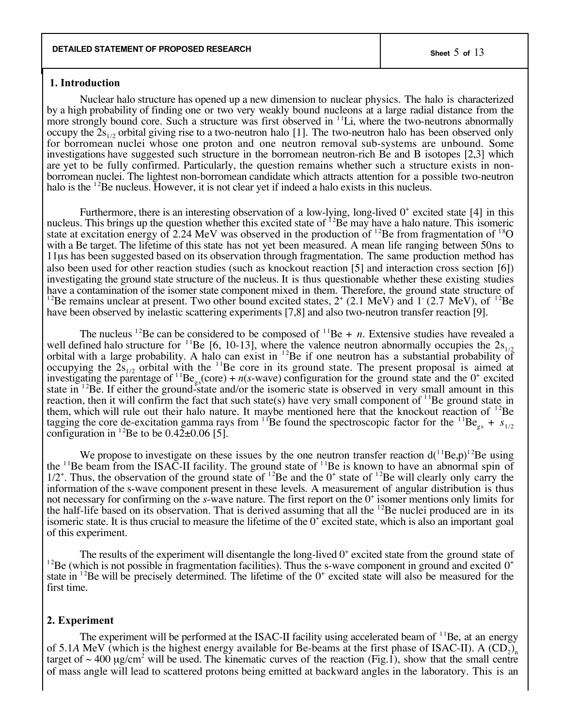#### **1. Introduction**

Nuclear halo structure has opened up a new dimension to nuclear physics. The halo is characterized by a high probability of finding one or two very weakly bound nucleons at a large radial distance from the more strongly bound core. Such a structure was first observed in  $\frac{11}{\text{Li}}$ , where the two-neutrons abnormally occupy the  $2s_{1/2}$  orbital giving rise to a two-neutron halo [1]. The two-neutron halo has been observed only for borromean nuclei whose one proton and one neutron removal sub-systems are unbound. Some investigations have suggested such structure in the borromean neutron-rich Be and B isotopes [2,3] which are yet to be fully confirmed. Particularly, the question remains whether such a structure exists in nonborromean nuclei. The lightest non-borromean candidate which attracts attention for a possible two-neutron halo is the  $12Be$  nucleus. However, it is not clear yet if indeed a halo exists in this nucleus.

Furthermore, there is an interesting observation of a low-lying, long-lived  $0^+$  excited state [4] in this nucleus. This brings up the question whether this excited state of  $^{12}$ Be may have a halo nature. This isomeric state at excitation energy of 2.24 MeV was observed in the production of <sup>12</sup>Be from fragmentation of <sup>18</sup>O with a Be target. The lifetime of this state has not yet been measured. A mean life ranging between 50ns to 11µs has been suggested based on its observation through fragmentation. The same production method has also been used for other reaction studies (such as knockout reaction [5] and interaction cross section [6]) investigating the ground state structure of the nucleus. It is thus questionable whether these existing studies have a contamination of the isomer state component mixed in them. Therefore, the ground state structure of <sup>12</sup>Be remains unclear at present. Two other bound excited states,  $2^+$  (2.1 MeV) and 1 (2.7 MeV), of <sup>12</sup>Be have been observed by inelastic scattering experiments [7,8] and also two-neutron transfer reaction [9].

The nucleus <sup>12</sup>Be can be considered to be composed of <sup>11</sup>Be + *n*. Extensive studies have revealed a well defined halo structure for <sup>11</sup>Be [6, 10-13], where the valence neutron abnormally occupies the  $2s_{1/2}$ orbital with a large probability. A halo can exist in  $^{12}$ Be if one neutron has a substantial probability of occupying the  $2s_{1/2}$  orbital with the  $11Be$  core in its ground state. The present proposal is aimed at investigating the parentage of <sup>11</sup>Be<sub>ss</sub>(core) + *n*(*s*-wave) configuration for the ground state and the 0<sup>+</sup> excited state in  $12Be$ . If either the ground-state and/or the isomeric state is observed in very small amount in this reaction, then it will confirm the fact that such state(s) have very small component of  $\rm{^{11}Be}$  ground state in them, which will rule out their halo nature. It maybe mentioned here that the knockout reaction of  $^{12}$ Be tagging the core de-excitation gamma rays from <sup>11</sup>Be found the spectroscopic factor for the <sup>11</sup>Be<sub>gs</sub> +  $s_{1/2}$ configuration in <sup>12</sup>Be to be  $0.42 \pm 0.06$  [5].

We propose to investigate on these issues by the one neutron transfer reaction  $d(^{11}Be,p)^{12}Be$  using the  $11$ Be beam from the ISAC-II facility. The ground state of  $11$ Be is known to have an abnormal spin of  $1/2^+$ . Thus, the observation of the ground state of <sup>12</sup>Be and the 0<sup>+</sup> state of <sup>12</sup>Be will clearly only carry the information of the s-wave component present in these levels. A measurement of angular distribution is thus not necessary for confirming on the *s*-wave nature. The first report on the 0<sup>+</sup> isomer mentions only limits for the half-life based on its observation. That is derived assuming that all the  $^{12}$ Be nuclei produced are in its isomeric state. It is thus crucial to measure the lifetime of the  $0^+$  excited state, which is also an important goal of this experiment.

The results of the experiment will disentangle the long-lived  $0^+$  excited state from the ground state of  $12Be$  (which is not possible in fragmentation facilities). Thus the s-wave component in ground and excited  $0^+$ state in  $128$ e will be precisely determined. The lifetime of the  $0^+$  excited state will also be measured for the first time.

### **2. Experiment**

The experiment will be performed at the ISAC-II facility using accelerated beam of  $11Be$ , at an energy of 5.1*A* MeV (which is the highest energy available for Be-beams at the first phase of ISAC-II). A  $(CD_2)_n$ target of  $\sim$  400  $\mu$ g/cm<sup>2</sup> will be used. The kinematic curves of the reaction (Fig.1), show that the small centre of mass angle will lead to scattered protons being emitted at backward angles in the laboratory. This is an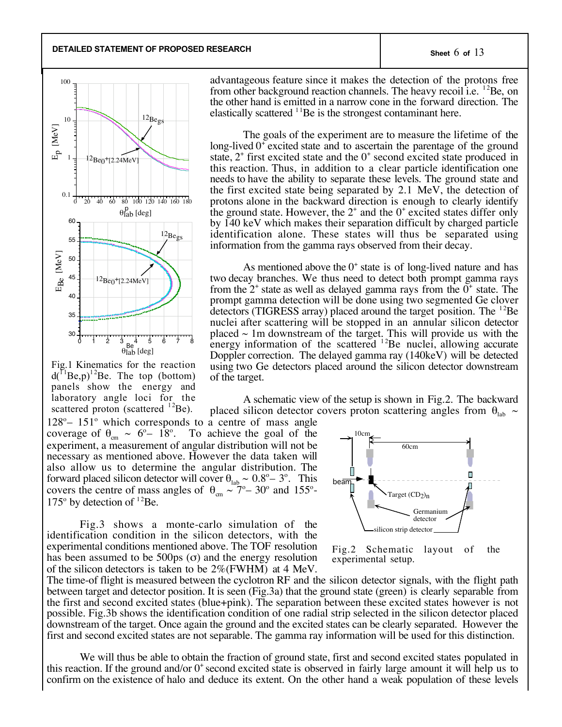**DETAILED STATEMENT OF PROPOSED RESEARCH Sheet** 6 **of** 13



Fig.1 Kinematics for the reaction  $d(^{11}Be,p)^{12}Be$ . The top (bottom) panels show the energy and laboratory angle loci for the scattered proton (scattered  $^{12}$ Be).

128° – 151° which corresponds to a centre of mass angle coverage of  $\theta_{cm} \sim 6^{\circ} - 18^{\circ}$ . To achieve the goal of the experiment, a measurement of angular distribution will not be necessary as mentioned above. However the data taken will also allow us to determine the angular distribution. The forward placed silicon detector will cover  $\theta_{\text{lab}} \sim 0.8^{\circ} - 3^{\circ}$ . This covers the centre of mass angles of  $\theta_{cm} \sim 7^{\circ} - 30^{\circ}$  and 155°- $175^{\circ}$  by detection of  $^{12}$ Be.

Fig.3 shows a monte-carlo simulation of the identification condition in the silicon detectors, with the experimental conditions mentioned above. The TOF resolution has been assumed to be 500ps  $(\sigma)$  and the energy resolution of the silicon detectors is taken to be 2%(FWHM) at 4 MeV.



advantageous feature since it makes the detection of the protons free from other background reaction channels. The heavy recoil i.e.  $^{12}$ Be, on the other hand is emitted in a narrow cone in the forward direction. The

elastically scattered  $1^{1}$ Be is the strongest contaminant here.

As mentioned above the  $0^+$  state is of long-lived nature and has two decay branches. We thus need to detect both prompt gamma rays from the  $2^+$  state as well as delayed gamma rays from the  $0^+$  state. The prompt gamma detection will be done using two segmented Ge clover detectors (TIGRESS array) placed around the target position. The  $^{12}$ Be nuclei after scattering will be stopped in an annular silicon detector placed  $\sim$  1m downstream of the target. This will provide us with the energy information of the scattered  $12$ Be nuclei, allowing accurate Doppler correction. The delayed gamma ray (140keV) will be detected using two Ge detectors placed around the silicon detector downstream of the target.

A schematic view of the setup is shown in Fig.2. The backward placed silicon detector covers proton scattering angles from  $\theta_{\text{lab}} \sim$ 



Fig.2 Schematic layout of the experimental setup.

The time-of flight is measured between the cyclotron RF and the silicon detector signals, with the flight path between target and detector position. It is seen (Fig.3a) that the ground state (green) is clearly separable from the first and second excited states (blue+pink). The separation between these excited states however is not possible. Fig.3b shows the identification condition of one radial strip selected in the silicon detector placed downstream of the target. Once again the ground and the excited states can be clearly separated. However the first and second excited states are not separable. The gamma ray information will be used for this distinction.

We will thus be able to obtain the fraction of ground state, first and second excited states populated in this reaction. If the ground and/or 0+ second excited state is observed in fairly large amount it will help us to confirm on the existence of halo and deduce its extent. On the other hand a weak population of these levels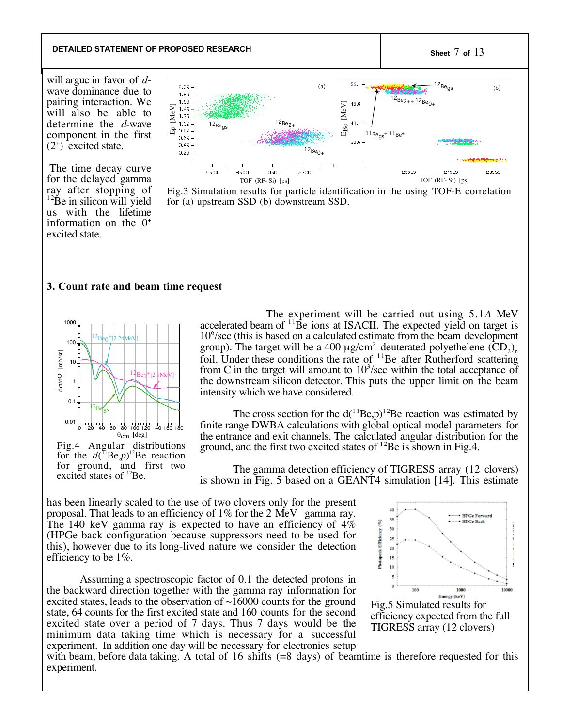## **DETAILED STATEMENT OF PROPOSED RESEARCH Sheet** 7 **of** 13

will argue in favor of *d*wave dominance due to pairing interaction. We will also be able to determine the *d*-wave component in the first  $(2^*)$  excited state.

The time decay curve for the delayed gamma ray after stopping of  $12\text{Be}$  in silicon will yield us with the lifetime information on the  $0^+$ excited state.



Fig.3 Simulation results for particle identification in the using TOF-E correlation for (a) upstream SSD (b) downstream SSD.

#### **3. Count rate and beam time request**



for the  $d({}^{11}Be,p)^{12}Be$  reaction for ground, and first two excited states of <sup>12</sup>Be.

The experiment will be carried out using 5.1*A* MeV accelerated beam of  $11\text{Be}$  ions at ISACII. The expected yield on target is 10<sup>6</sup>/sec (this is based on a calculated estimate from the beam development group). The target will be a 400  $\mu$ g/cm<sup>2</sup> deuterated polyethelene (CD<sub>2</sub>)<sub>n</sub> foil. Under these conditions the rate of  $11Be$  after Rutherford scattering from C in the target will amount to  $10<sup>3</sup>/sec$  within the total acceptance of the downstream silicon detector. This puts the upper limit on the beam intensity which we have considered.

The cross section for the  $d(^{11}Be,p)^{12}Be$  reaction was estimated by finite range DWBA calculations with global optical model parameters for the entrance and exit channels. The calculated angular distribution for the ground, and the first two excited states of  $^{12}$ Be is shown in Fig.4.

The gamma detection efficiency of TIGRESS array (12 clovers) is shown in Fig. 5 based on a GEANT4 simulation [14]. This estimate

has been linearly scaled to the use of two clovers only for the present proposal. That leads to an efficiency of 1% for the 2 MeV gamma ray. The 140 keV gamma ray is expected to have an efficiency of 4% (HPGe back configuration because suppressors need to be used for this), however due to its long-lived nature we consider the detection efficiency to be 1%.

Assuming a spectroscopic factor of 0.1 the detected protons in the backward direction together with the gamma ray information for excited states, leads to the observation of  $\sim$ 16000 counts for the ground state, 64 counts for the first excited state and 160 counts for the second excited state over a period of 7 days. Thus 7 days would be the minimum data taking time which is necessary for a successful experiment. In addition one day will be necessary for electronics setup



with beam, before data taking. A total of 16 shifts (=8 days) of beamtime is therefore requested for this experiment.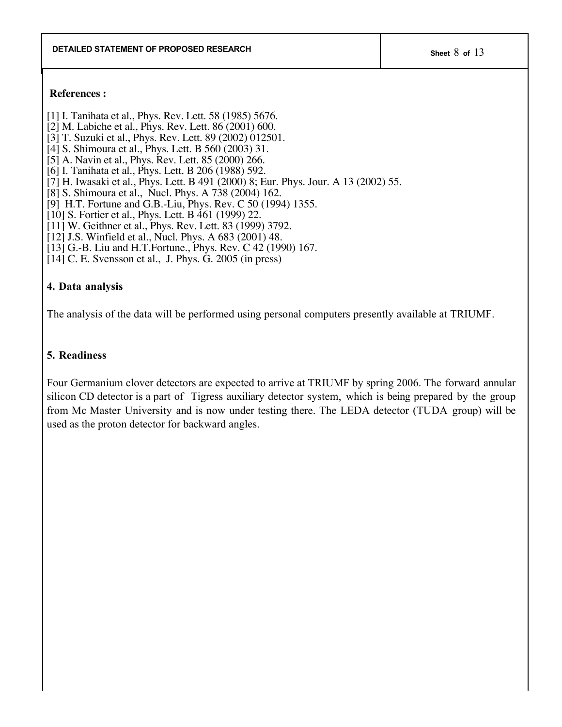### **References :**

- [1] I. Tanihata et al., Phys. Rev. Lett. 58 (1985) 5676.
- [2] M. Labiche et al., Phys. Rev. Lett. 86 (2001) 600.
- [3] T. Suzuki et al., Phys. Rev. Lett. 89 (2002) 012501.
- [4] S. Shimoura et al., Phys. Lett. B 560 (2003) 31.
- [5] A. Navin et al., Phys. Rev. Lett. 85 (2000) 266.
- [6] I. Tanihata et al., Phys. Lett. B 206 (1988) 592.
- [7] H. Iwasaki et al., Phys. Lett. B 491 (2000) 8; Eur. Phys. Jour. A 13 (2002) 55.
- [8] S. Shimoura et al., Nucl. Phys. A 738 (2004) 162.
- [9] H.T. Fortune and G.B.-Liu, Phys. Rev. C 50 (1994) 1355.
- [10] S. Fortier et al., Phys. Lett. B 461 (1999) 22.
- [11] W. Geithner et al., Phys. Rev. Lett. 83 (1999) 3792.
- [12] J.S. Winfield et al., Nucl. Phys. A 683 (2001) 48.
- [13] G.-B. Liu and H.T.Fortune., Phys. Rev. C 42 (1990) 167.
- [14] C. E. Svensson et al., J. Phys. G. 2005 (in press)

# **4. Data analysis**

The analysis of the data will be performed using personal computers presently available at TRIUMF.

# **5. Readiness**

Four Germanium clover detectors are expected to arrive at TRIUMF by spring 2006. The forward annular silicon CD detector is a part of Tigress auxiliary detector system, which is being prepared by the group from Mc Master University and is now under testing there. The LEDA detector (TUDA group) will be used as the proton detector for backward angles.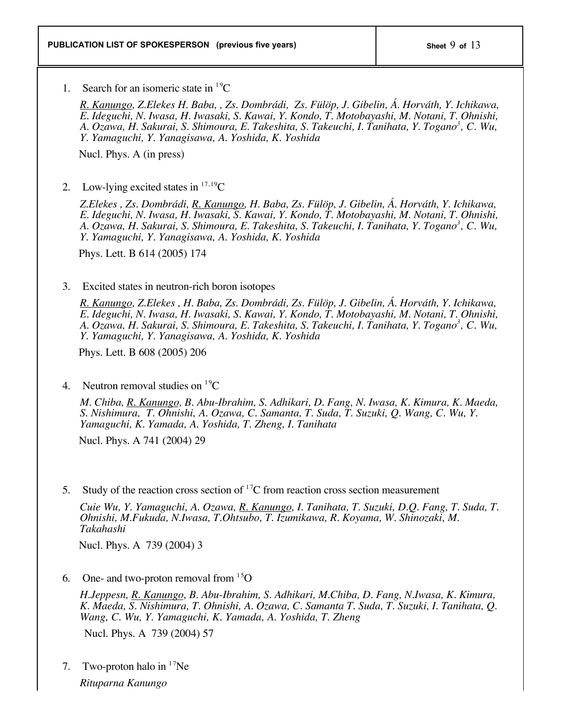1. Search for an isomeric state in  ${}^{19}C$ 

*R. Kanungo, Z.Elekes H. Baba, , Zs. Dombrádi, Zs. Fülöp, J. Gibelin, Á. Horváth, Y. Ichikawa, E. Ideguchi, N. Iwasa, H. Iwasaki, S. Kawai, Y. Kondo, T. Motobayashi, M. Notani, T. Ohnishi, A. Ozawa, H. Sakurai, S. Shimoura, E. Takeshita, S. Takeuchi, I. Tanihata, Y. Togano3 , C. Wu, Y. Yamaguchi, Y. Yanagisawa, A. Yoshida, K. Yoshida*

Nucl. Phys. A (in press)

2. Low-lying excited states in  $17,19$ C

*Z.Elekes , Zs. Dombrádi, R. Kanungo, H. Baba, Zs. Fülöp, J. Gibelin, Á. Horváth, Y. Ichikawa, E. Ideguchi, N. Iwasa, H. Iwasaki, S. Kawai, Y. Kondo, T. Motobayashi, M. Notani, T. Ohnishi, A. Ozawa, H. Sakurai, S. Shimoura, E. Takeshita, S. Takeuchi, I. Tanihata, Y. Togano3 , C. Wu, Y. Yamaguchi, Y. Yanagisawa, A. Yoshida, K. Yoshida*

Phys. Lett. B 614 (2005) 174

## 3. Excited states in neutron-rich boron isotopes

*R. Kanungo, Z.Elekes , H. Baba, Zs. Dombrádi, Zs. Fülöp, J. Gibelin, Á. Horváth, Y. Ichikawa, E. Ideguchi, N. Iwasa, H. Iwasaki, S. Kawai, Y. Kondo, T. Motobayashi, M. Notani, T. Ohnishi, A. Ozawa, H. Sakurai, S. Shimoura, E. Takeshita, S. Takeuchi, I. Tanihata, Y. Togano3 , C. Wu, Y. Yamaguchi, Y. Yanagisawa, A. Yoshida, K. Yoshida*

Phys. Lett. B 608 (2005) 206

4. Neutron removal studies on  ${}^{19}C$ 

*M. Chiba, R. Kanungo, B. Abu-Ibrahim, S. Adhikari, D. Fang, N. Iwasa, K. Kimura, K. Maeda, S. Nishimura, T. Ohnishi, A. Ozawa, C. Samanta, T. Suda, T. Suzuki, Q. Wang, C. Wu, Y. Yamaguchi, K. Yamada, A. Yoshida, T. Zheng, I. Tanihata*

Nucl. Phys. A 741 (2004) 29

5. Study of the reaction cross section of  ${}^{17}C$  from reaction cross section measurement

*Cuie Wu, Y. Yamaguchi, A. Ozawa, R. Kanungo, I. Tanihata, T. Suzuki, D.Q. Fang, T. Suda, T. Ohnishi, M.Fukuda, N.Iwasa, T.Ohtsubo, T. Izumikawa, R. Koyama, W. Shinozaki, M. Takahashi*

Nucl. Phys. A 739 (2004) 3

6. One- and two-proton removal from  $15$ O

*H.Jeppesn, R. Kanungo, B. Abu-Ibrahim, S. Adhikari, M.Chiba, D. Fang, N.Iwasa, K. Kimura, K. Maeda, S. Nishimura, T. Ohnishi, A. Ozawa, C. Samanta T. Suda, T. Suzuki, I. Tanihata, Q. Wang, C. Wu, Y. Yamaguchi, K. Yamada, A. Yoshida, T. Zheng*

Nucl. Phys. A 739 (2004) 57

7. Two-proton halo in  $17$ Ne *Rituparna Kanungo*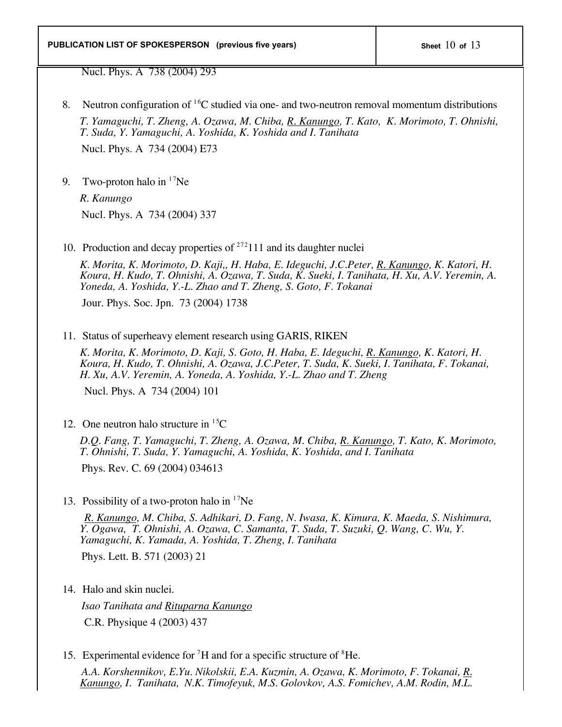Nucl. Phys. A 738 (2004) 293

- 8. Neutron configuration of  ${}^{16}C$  studied via one- and two-neutron removal momentum distributions *T. Yamaguchi, T. Zheng, A. Ozawa, M. Chiba, R. Kanungo, T. Kato, K. Morimoto, T. Ohnishi, T. Suda, Y. Yamaguchi, A. Yoshida, K. Yoshida and I. Tanihata* Nucl. Phys. A 734 (2004) E73
- 9. Two-proton halo in  $17$ Ne

*R. Kanungo* Nucl. Phys. A 734 (2004) 337

10. Production and decay properties of  $^{272}$ 111 and its daughter nuclei

*K. Morita, K. Morimoto, D. Kaji,, H. Haba, E. Ideguchi, J.C.Peter, R. Kanungo, K. Katori, H. Koura, H. Kudo, T. Ohnishi, A. Ozawa, T. Suda, K. Sueki, I. Tanihata, H. Xu, A.V. Yeremin, A. Yoneda, A. Yoshida, Y.-L. Zhao and T. Zheng, S. Goto, F. Tokanai*

Jour. Phys. Soc. Jpn. 73 (2004) 1738

11. Status of superheavy element research using GARIS, RIKEN

*K. Morita, K. Morimoto, D. Kaji, S. Goto, H. Haba, E. Ideguchi, R. Kanungo, K. Katori, H. Koura, H. Kudo, T. Ohnishi, A. Ozawa, J.C.Peter, T. Suda, K. Sueki, I. Tanihata, F. Tokanai, H. Xu, A.V. Yeremin, A. Yoneda, A. Yoshida, Y.-L. Zhao and T. Zheng*

Nucl. Phys. A 734 (2004) 101

12. One neutron halo structure in  ${}^{15}C$ 

*D.Q. Fang, T. Yamaguchi, T. Zheng, A. Ozawa, M. Chiba, R. Kanungo, T. Kato, K. Morimoto, T. Ohnishi, T. Suda, Y. Yamaguchi, A. Yoshida, K. Yoshida, and I. Tanihata*

Phys. Rev. C. 69 (2004) 034613

13. Possibility of a two-proton halo in  $17$ Ne

 *R. Kanungo, M. Chiba, S. Adhikari, D. Fang, N. Iwasa, K. Kimura, K. Maeda, S. Nishimura, Y. Ogawa, T. Ohnishi, A. Ozawa, C. Samanta, T. Suda, T. Suzuki, Q. Wang, C. Wu, Y. Yamaguchi, K. Yamada, A. Yoshida, T. Zheng, I. Tanihata* Phys. Lett. B. 571 (2003) 21

14. Halo and skin nuclei.

 *Isao Tanihata and Rituparna Kanungo* C.R. Physique 4 (2003) 437

15. Experimental evidence for  ${}^{7}H$  and for a specific structure of  ${}^{8}He$ .

 *A.A. Korshennikov, E.Yu. Nikolskii, E.A. Kuzmin, A. Ozawa, K. Morimoto, F. Tokanai, R. Kanungo, I. Tanihata, N.K. Timofeyuk, M.S. Golovkov, A.S. Fomichev, A.M. Rodin, M.L.*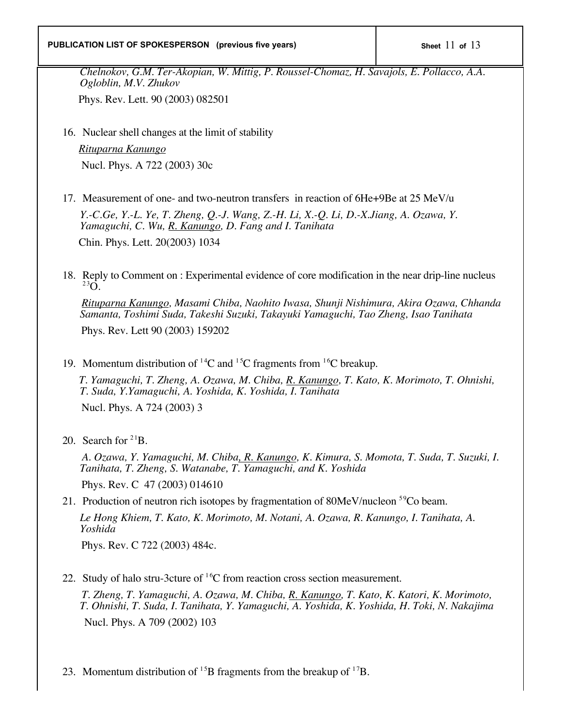### **PUBLICATION LIST OF SPOKESPERSON** (previous five years)  $\vert$  Sheet 11 of 13

*Chelnokov, G.M. Ter-Akopian, W. Mittig, P. Roussel-Chomaz, H. Savajols, E. Pollacco, A.A. Ogloblin, M.V. Zhukov*

Phys. Rev. Lett. 90 (2003) 082501

16. Nuclear shell changes at the limit of stability

 *Rituparna Kanungo* Nucl. Phys. A 722 (2003) 30c

17. Measurement of one- and two-neutron transfers in reaction of 6He+9Be at 25 MeV/u

*Y.-C.Ge, Y.-L. Ye, T. Zheng, Q.-J. Wang, Z.-H. Li, X.-Q. Li, D.-X.Jiang, A. Ozawa, Y. Yamaguchi, C. Wu, R. Kanungo, D. Fang and I. Tanihata* Chin. Phys. Lett. 20(2003) 1034

18. Reply to Comment on : Experimental evidence of core modification in the near drip-line nucleus <sup>23</sup>O

 *Rituparna Kanungo, Masami Chiba, Naohito Iwasa, Shunji Nishimura, Akira Ozawa, Chhanda Samanta, Toshimi Suda, Takeshi Suzuki, Takayuki Yamaguchi, Tao Zheng, Isao Tanihata*

Phys. Rev. Lett 90 (2003) 159202

19. Momentum distribution of <sup>14</sup>C and <sup>15</sup>C fragments from <sup>16</sup>C breakup.

 *T. Yamaguchi, T. Zheng, A. Ozawa, M. Chiba, R. Kanungo, T. Kato, K. Morimoto, T. Ohnishi, T. Suda, Y.Yamaguchi, A. Yoshida, K. Yoshida, I. Tanihata*

Nucl. Phys. A 724 (2003) 3

20. Search for  $2^{1}B$ .

 *A. Ozawa, Y. Yamaguchi, M. Chiba, R. Kanungo, K. Kimura, S. Momota, T. Suda, T. Suzuki, I. Tanihata, T. Zheng, S. Watanabe, T. Yamaguchi, and K. Yoshida*

Phys. Rev. C 47 (2003) 014610

21. Production of neutron rich isotopes by fragmentation of  $80MeV/nucleon$ <sup>59</sup>Co beam.

*Le Hong Khiem, T. Kato, K. Morimoto, M. Notani, A. Ozawa, R. Kanungo, I. Tanihata, A. Yoshida*

Phys. Rev. C 722 (2003) 484c.

22. Study of halo stru-3cture of  ${}^{16}C$  from reaction cross section measurement.

 *T. Zheng, T. Yamaguchi, A. Ozawa, M. Chiba, R. Kanungo, T. Kato, K. Katori, K. Morimoto, T. Ohnishi, T. Suda, I. Tanihata, Y. Yamaguchi, A. Yoshida, K. Yoshida, H. Toki, N. Nakajima* Nucl. Phys. A 709 (2002) 103

23. Momentum distribution of  $^{15}B$  fragments from the breakup of  $^{17}B$ .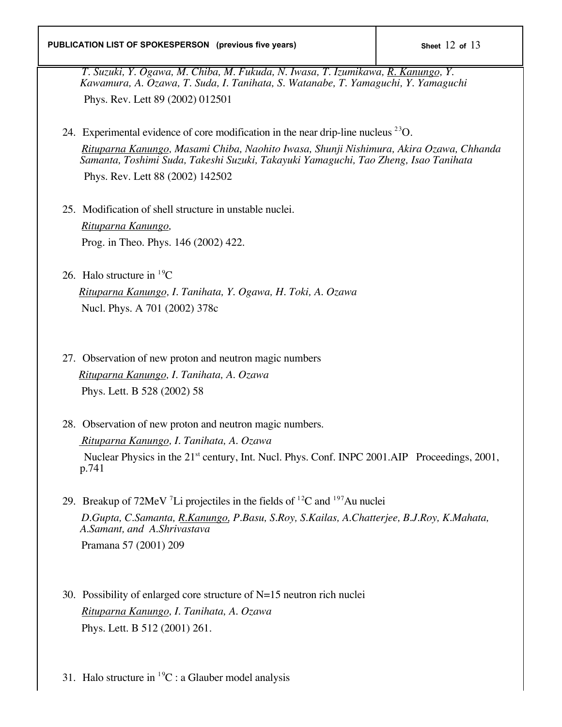*T. Suzuki, Y. Ogawa, M. Chiba, M. Fukuda, N. Iwasa, T. Izumikawa, R. Kanungo, Y. Kawamura, A. Ozawa, T. Suda, I. Tanihata, S. Watanabe, T. Yamaguchi, Y. Yamaguchi* Phys. Rev. Lett 89 (2002) 012501

24. Experimental evidence of core modification in the near drip-line nucleus  $^{23}O$ .  *Rituparna Kanungo, Masami Chiba, Naohito Iwasa, Shunji Nishimura, Akira Ozawa, Chhanda Samanta, Toshimi Suda, Takeshi Suzuki, Takayuki Yamaguchi, Tao Zheng, Isao Tanihata*

Phys. Rev. Lett 88 (2002) 142502

- 25. Modification of shell structure in unstable nuclei.  *Rituparna Kanungo,* Prog. in Theo. Phys. 146 (2002) 422.
- 26. Halo structure in  ${}^{19}C$

 *Rituparna Kanungo, I. Tanihata, Y. Ogawa, H. Toki, A. Ozawa* Nucl. Phys. A 701 (2002) 378c

- 27. Observation of new proton and neutron magic numbers  *Rituparna Kanungo, I. Tanihata, A. Ozawa* Phys. Lett. B 528 (2002) 58
- 28. Observation of new proton and neutron magic numbers.  *Rituparna Kanungo, I. Tanihata, A. Ozawa* Nuclear Physics in the 21<sup>st</sup> century, Int. Nucl. Phys. Conf. INPC 2001.AIP Proceedings, 2001, p.741
- 29. Breakup of  $72$ MeV  $^7$ Li projectiles in the fields of  $^{12}$ C and  $^{197}$ Au nuclei  *D.Gupta, C.Samanta, R.Kanungo, P.Basu, S.Roy, S.Kailas, A.Chatterjee, B.J.Roy, K.Mahata, A.Samant, and A.Shrivastava* Pramana 57 (2001) 209
- 30. Possibility of enlarged core structure of N=15 neutron rich nuclei *Rituparna Kanungo, I. Tanihata, A. Ozawa* Phys. Lett. B 512 (2001) 261.
- 31. Halo structure in  ${}^{19}C$  : a Glauber model analysis